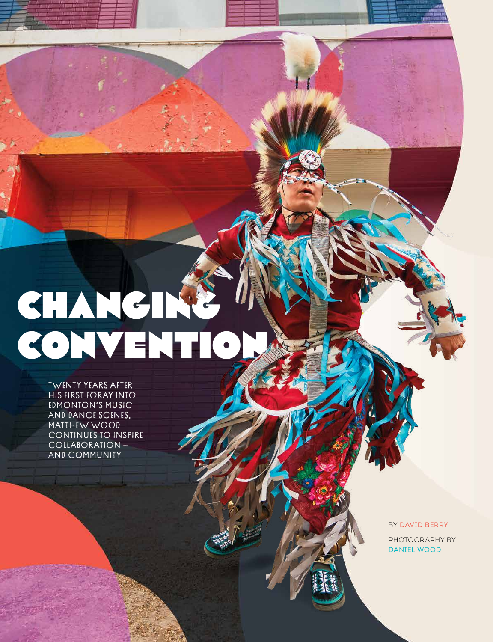## **CHANGING** CONVENTION

TWENTY YEARS AFTER HIS FIRST FORAY INTO EDMONTON'S MUSIC AND DANCE SCENES, MATTHEW WOOD CONTINUES TO INSPIRE COLLABORATION — AND COMMUNITY

14 LEGACY IN ACTION

BY DAVID BERRY PHOTOGRAPHY BY DANIEL WOOD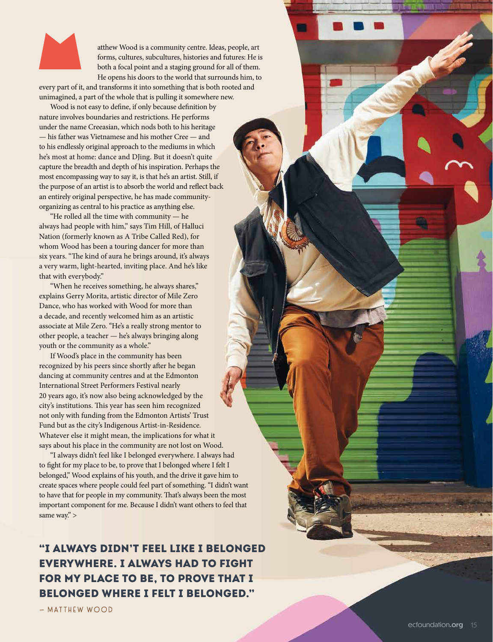

atthew Wood is a community centre. Ideas, people, art<br>forms, cultures, subcultures, histories and futures: He is<br>both a focal point and a staging ground for all of them.<br>He opens his doors to the world that surrounds him, forms, cultures, subcultures, histories and futures: He is both a focal point and a staging ground for all of them. He opens his doors to the world that surrounds him, to

every part of it, and transforms it into something that is both rooted and unimagined, a part of the whole that is pulling it somewhere new.

Wood is not easy to define, if only because definition by nature involves boundaries and restrictions. He performs under the name Creeasian, which nods both to his heritage — his father was Vietnamese and his mother Cree — and to his endlessly original approach to the mediums in which he's most at home: dance and DJing. But it doesn't quite capture the breadth and depth of his inspiration. Perhaps the most encompassing way to say it, is that he's an artist. Still, if the purpose of an artist is to absorb the world and reflect back an entirely original perspective, he has made communityorganizing as central to his practice as anything else.

"He rolled all the time with community — he always had people with him," says Tim Hill, of Halluci Nation (formerly known as A Tribe Called Red), for whom Wood has been a touring dancer for more than six years. "The kind of aura he brings around, it's always a very warm, light-hearted, inviting place. And he's like that with everybody."

"When he receives something, he always shares," explains Gerry Morita, artistic director of Mile Zero Dance, who has worked with Wood for more than a decade, and recently welcomed him as an artistic associate at Mile Zero. "He's a really strong mentor to other people, a teacher — he's always bringing along youth or the community as a whole."

If Wood's place in the community has been recognized by his peers since shortly after he began dancing at community centres and at the Edmonton International Street Performers Festival nearly 20 years ago, it's now also being acknowledged by the city's institutions. This year has seen him recognized not only with funding from the Edmonton Artists' Trust Fund but as the city's Indigenous Artist-in-Residence. Whatever else it might mean, the implications for what it says about his place in the community are not lost on Wood.

"I always didn't feel like I belonged everywhere. I always had to fight for my place to be, to prove that I belonged where I felt I belonged," Wood explains of his youth, and the drive it gave him to create spaces where people could feel part of something. "I didn't want to have that for people in my community. That's always been the most important component for me. Because I didn't want others to feel that same way." >

## "I ALWAYS DIDN'T FEEL LIKE I BELONGED EVERYWHERE. I ALWAYS HAD TO FIGHT FOR MY PLACE TO BE, TO PROVE THAT I BELONGED WHERE I FELT I BELONGED."

— MATTHEW WOOD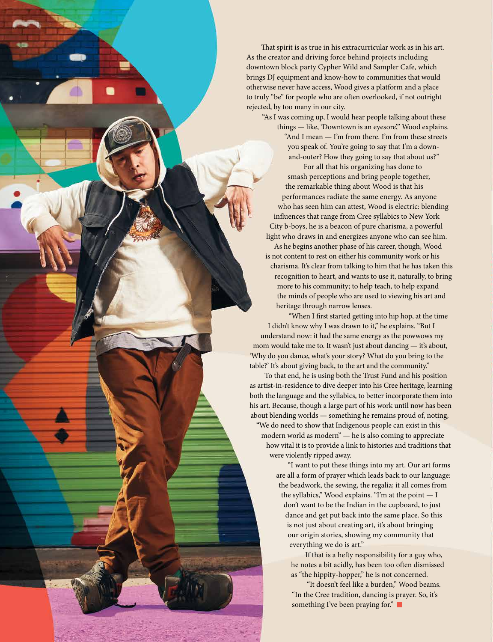That spirit is as true in his extracurricular work as in his art. As the creator and driving force behind projects including downtown block party Cypher Wild and Sampler Cafe, which brings DJ equipment and know-how to communities that would otherwise never have access, Wood gives a platform and a place to truly "be" for people who are often overlooked, if not outright rejected, by too many in our city.

"As I was coming up, I would hear people talking about these things — like, 'Downtown is an eyesore," Wood explains. "And I mean — I'm from there. I'm from these streets you speak of. You're going to say that I'm a downand-outer? How they going to say that about us?" For all that his organizing has done to smash perceptions and bring people together, the remarkable thing about Wood is that his performances radiate the same energy. As anyone who has seen him can attest, Wood is electric: blending influences that range from Cree syllabics to New York City b-boys, he is a beacon of pure charisma, a powerful light who draws in and energizes anyone who can see him. As he begins another phase of his career, though, Wood is not content to rest on either his community work or his charisma. It's clear from talking to him that he has taken this recognition to heart, and wants to use it, naturally, to bring more to his community; to help teach, to help expand the minds of people who are used to viewing his art and heritage through narrow lenses.

"When I first started getting into hip hop, at the time I didn't know why I was drawn to it," he explains. "But I understand now: it had the same energy as the powwows my mom would take me to. It wasn't just about dancing — it's about, 'Why do you dance, what's your story? What do you bring to the table?' It's about giving back, to the art and the community."

To that end, he is using both the Trust Fund and his position as artist-in-residence to dive deeper into his Cree heritage, learning both the language and the syllabics, to better incorporate them into his art. Because, though a large part of his work until now has been about blending worlds — something he remains proud of, noting, "We do need to show that Indigenous people can exist in this modern world as modern" — he is also coming to appreciate how vital it is to provide a link to histories and traditions that were violently ripped away.

> "I want to put these things into my art. Our art forms are all a form of prayer which leads back to our language: the beadwork, the sewing, the regalia; it all comes from the syllabics," Wood explains. "I'm at the point — I don't want to be the Indian in the cupboard, to just dance and get put back into the same place. So this is not just about creating art, it's about bringing our origin stories, showing my community that everything we do is art."

If that is a hefty responsibility for a guy who, he notes a bit acidly, has been too often dismissed as "the hippity-hopper," he is not concerned.

"It doesn't feel like a burden," Wood beams. "In the Cree tradition, dancing is prayer. So, it's something I've been praying for."